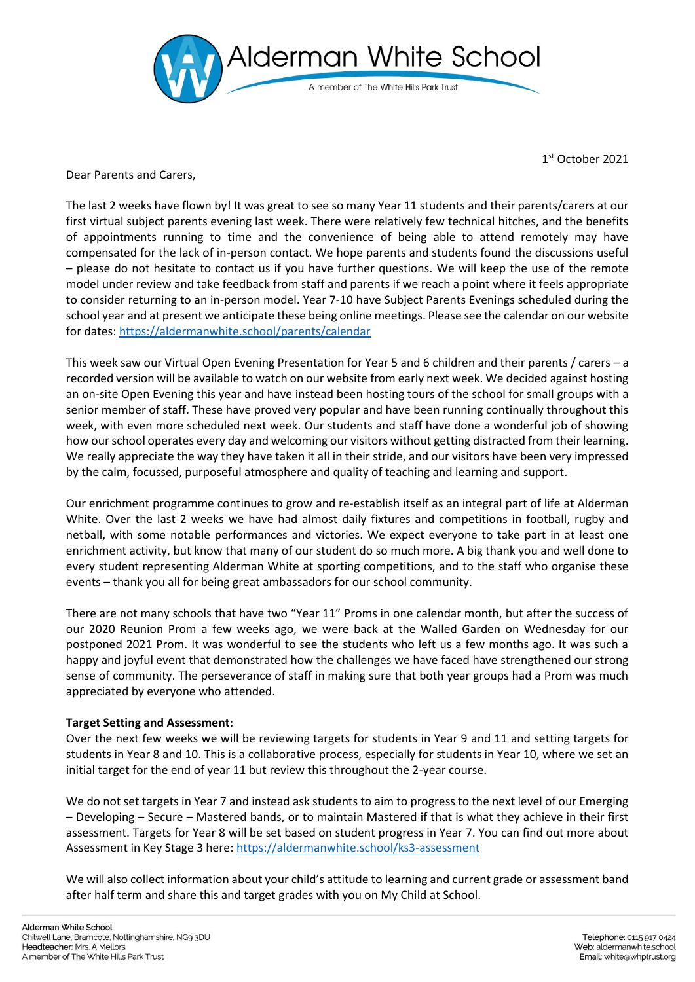

1 st October 2021

Dear Parents and Carers,

The last 2 weeks have flown by! It was great to see so many Year 11 students and their parents/carers at our first virtual subject parents evening last week. There were relatively few technical hitches, and the benefits of appointments running to time and the convenience of being able to attend remotely may have compensated for the lack of in-person contact. We hope parents and students found the discussions useful – please do not hesitate to contact us if you have further questions. We will keep the use of the remote model under review and take feedback from staff and parents if we reach a point where it feels appropriate to consider returning to an in-person model. Year 7-10 have Subject Parents Evenings scheduled during the school year and at present we anticipate these being online meetings. Please see the calendar on our website for dates:<https://aldermanwhite.school/parents/calendar>

This week saw our Virtual Open Evening Presentation for Year 5 and 6 children and their parents / carers – a recorded version will be available to watch on our website from early next week. We decided against hosting an on-site Open Evening this year and have instead been hosting tours of the school for small groups with a senior member of staff. These have proved very popular and have been running continually throughout this week, with even more scheduled next week. Our students and staff have done a wonderful job of showing how our school operates every day and welcoming our visitors without getting distracted from their learning. We really appreciate the way they have taken it all in their stride, and our visitors have been very impressed by the calm, focussed, purposeful atmosphere and quality of teaching and learning and support.

Our enrichment programme continues to grow and re-establish itself as an integral part of life at Alderman White. Over the last 2 weeks we have had almost daily fixtures and competitions in football, rugby and netball, with some notable performances and victories. We expect everyone to take part in at least one enrichment activity, but know that many of our student do so much more. A big thank you and well done to every student representing Alderman White at sporting competitions, and to the staff who organise these events – thank you all for being great ambassadors for our school community.

There are not many schools that have two "Year 11" Proms in one calendar month, but after the success of our 2020 Reunion Prom a few weeks ago, we were back at the Walled Garden on Wednesday for our postponed 2021 Prom. It was wonderful to see the students who left us a few months ago. It was such a happy and joyful event that demonstrated how the challenges we have faced have strengthened our strong sense of community. The perseverance of staff in making sure that both year groups had a Prom was much appreciated by everyone who attended.

## **Target Setting and Assessment:**

Over the next few weeks we will be reviewing targets for students in Year 9 and 11 and setting targets for students in Year 8 and 10. This is a collaborative process, especially for students in Year 10, where we set an initial target for the end of year 11 but review this throughout the 2-year course.

We do not set targets in Year 7 and instead ask students to aim to progress to the next level of our Emerging – Developing – Secure – Mastered bands, or to maintain Mastered if that is what they achieve in their first assessment. Targets for Year 8 will be set based on student progress in Year 7. You can find out more about Assessment in Key Stage 3 here[: https://aldermanwhite.school/ks3-assessment](https://aldermanwhite.school/ks3-assessment)

We will also collect information about your child's attitude to learning and current grade or assessment band after half term and share this and target grades with you on My Child at School.